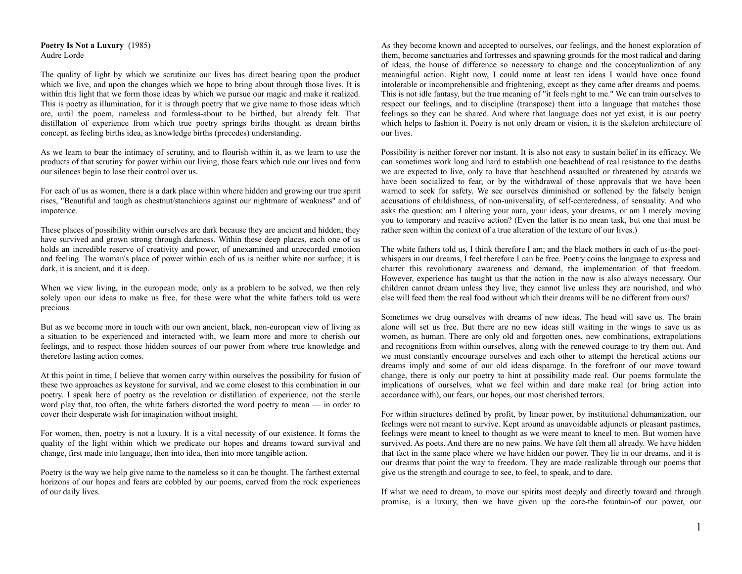## **Poetry Is Not a Luxury** (1985) Audre Lorde

The quality of light by which we scrutinize our lives has direct bearing upon the product which we live, and upon the changes which we hope to bring about through those lives. It is within this light that we form those ideas by which we pursue our magic and make it realized. This is poetry as illumination, for it is through poetry that we give name to those ideas which are, until the poem, nameless and formless-about to be birthed, but already felt. That distillation of experience from which true poetry springs births thought as dream births concept, as feeling births idea, as knowledge births (precedes) understanding.

As we learn to bear the intimacy of scrutiny, and to flourish within it, as we learn to use the products of that scrutiny for power within our living, those fears which rule our lives and form our silences begin to lose their control over us.

For each of us as women, there is a dark place within where hidden and growing our true spirit rises, "Beautiful and tough as chestnut/stanchions against our nightmare of weakness" and of impotence.

These places of possibility within ourselves are dark because they are ancient and hidden; they have survived and grown strong through darkness. Within these deep places, each one of us holds an incredible reserve of creativity and power, of unexamined and unrecorded emotion and feeling. The woman's place of power within each of us is neither white nor surface; it is dark, it is ancient, and it is deep.

When we view living, in the european mode, only as a problem to be solved, we then rely solely upon our ideas to make us free, for these were what the white fathers told us were precious.

But as we become more in touch with our own ancient, black, non-european view of living as a situation to be experienced and interacted with, we learn more and more to cherish our feelings, and to respect those hidden sources of our power from where true knowledge and therefore lasting action comes.

At this point in time, I believe that women carry within ourselves the possibility for fusion of these two approaches as keystone for survival, and we come closest to this combination in our poetry. I speak here of poetry as the revelation or distillation of experience, not the sterile word play that, too often, the white fathers distorted the word poetry to mean — in order to cover their desperate wish for imagination without insight.

For women, then, poetry is not a luxury. It is a vital necessity of our existence. It forms the quality of the light within which we predicate our hopes and dreams toward survival and change, first made into language, then into idea, then into more tangible action.

Poetry is the way we help give name to the nameless so it can be thought. The farthest external horizons of our hopes and fears are cobbled by our poems, carved from the rock experiences of our daily lives.

As they become known and accepted to ourselves, our feelings, and the honest exploration of them, become sanctuaries and fortresses and spawning grounds for the most radical and daring of ideas, the house of difference so necessary to change and the conceptualization of any meaningful action. Right now, I could name at least ten ideas I would have once found intolerable or incomprehensible and frightening, except as they came after dreams and poems. This is not idle fantasy, but the true meaning of "it feels right to me." We can train ourselves to respect our feelings, and to discipline (transpose) them into a language that matches those feelings so they can be shared. And where that language does not yet exist, it is our poetry which helps to fashion it. Poetry is not only dream or vision, it is the skeleton architecture of our lives.

Possibility is neither forever nor instant. It is also not easy to sustain belief in its efficacy. We can sometimes work long and hard to establish one beachhead of real resistance to the deaths we are expected to live, only to have that beachhead assaulted or threatened by canards we have been socialized to fear, or by the withdrawal of those approvals that we have been warned to seek for safety. We see ourselves diminished or softened by the falsely benign accusations of childishness, of non-universality, of self-centeredness, of sensuality. And who asks the question: am I altering your aura, your ideas, your dreams, or am I merely moving you to temporary and reactive action? (Even the latter is no mean task, but one that must be rather seen within the context of a true alteration of the texture of our lives.)

The white fathers told us, I think therefore I am; and the black mothers in each of us-the poetwhispers in our dreams, I feel therefore I can be free. Poetry coins the language to express and charter this revolutionary awareness and demand, the implementation of that freedom. However, experience has taught us that the action in the now is also always necessary. Our children cannot dream unless they live, they cannot live unless they are nourished, and who else will feed them the real food without which their dreams will be no different from ours?

Sometimes we drug ourselves with dreams of new ideas. The head will save us. The brain alone will set us free. But there are no new ideas still waiting in the wings to save us as women, as human. There are only old and forgotten ones, new combinations, extrapolations and recognitions from within ourselves, along with the renewed courage to try them out. And we must constantly encourage ourselves and each other to attempt the heretical actions our dreams imply and some of our old ideas disparage. In the forefront of our move toward change, there is only our poetry to hint at possibility made real. Our poems formulate the implications of ourselves, what we feel within and dare make real (or bring action into accordance with), our fears, our hopes, our most cherished terrors.

For within structures defined by profit, by linear power, by institutional dehumanization, our feelings were not meant to survive. Kept around as unavoidable adjuncts or pleasant pastimes, feelings were meant to kneel to thought as we were meant to kneel to men. But women have survived. As poets. And there are no new pains. We have felt them all already. We have hidden that fact in the same place where we have hidden our power. They lie in our dreams, and it is our dreams that point the way to freedom. They are made realizable through our poems that give us the strength and courage to see, to feel, to speak, and to dare.

If what we need to dream, to move our spirits most deeply and directly toward and through promise, is a luxury, then we have given up the core-the fountain-of our power, our